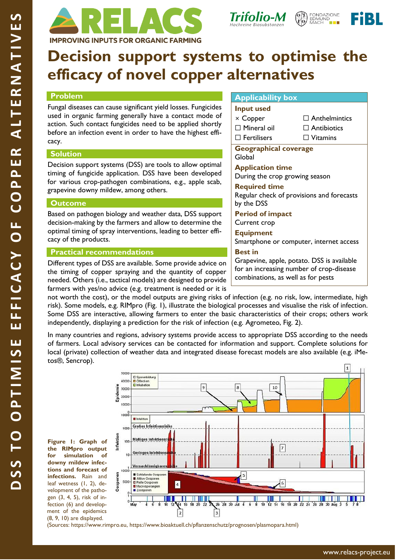





# **Decision support systems to optimise the efficacy of novel copper alternatives**

# **Problem**

Fungal diseases can cause significant yield losses. Fungicides used in organic farming generally have a contact mode of action. Such contact fungicides need to be applied shortly before an infection event in order to have the highest efficacy.

# **Solution**

Decision support systems (DSS) are tools to allow optimal timing of fungicide application. DSS have been developed for various crop-pathogen combinations, e.g., apple scab, grapevine downy mildew, among others.

# **Outcome**

Based on pathogen biology and weather data, DSS support decision-making by the farmers and allow to determine the optimal timing of spray interventions, leading to better efficacy of the products.

# **Practical recommendations**

Different types of DSS are available. Some provide advice on the timing of copper spraying and the quantity of copper needed. Others (i.e., tactical models) are designed to provide farmers with yes/no advice (e.g. treatment is needed or it is

## **Applicability box**

| <b>Input used</b>  |
|--------------------|
| $\times$ Copper    |
| $\Box$ Mineral oil |
| $\Box$ Fertilisers |

□ Anthelmintics □ Antibiotics

□ Vitamins

**Geographical coverage** 

Global **Application time**

During the crop growing season

## **Required time**

Regular check of provisions and forecasts by the DSS

**Period of impact** Current crop

**Equipment**

Smartphone or computer, internet access

## **Best in**

Grapevine, apple, potato. DSS is available for an increasing number of crop-disease combinations, as well as for pests

not worth the cost), or the model outputs are giving risks of infection (e.g. no risk, low, intermediate, high risk). Some models, e.g. RIMpro (Fig. 1), illustrate the biological processes and visualise the risk of infection. Some DSS are interactive, allowing farmers to enter the basic characteristics of their crops; others work independently, displaying a prediction for the risk of infection (e.g. Agrometeo, Fig. 2).

In many countries and regions, advisory systems provide access to appropriate DSS according to the needs of farmers. Local advisory services can be contacted for information and support. Complete solutions for local (private) collection of weather data and integrated disease forecast models are also available (e.g. iMetos®, Sencrop).

**Figure 1: Graph of the RIMpro output for simulation of downy mildew infections and forecast of infections.** Rain and leaf wetness (1, 2), development of the pathogen (3, 4, 5), risk of infection (6) and development of the epidemics (8, 9, 10) are displayed.



(Sources: [https://www.rimpro.eu,](https://www.rimpro.eu/) [https://www.bioaktuell.ch/pflanzenschutz/prognosen/plasmopara.html\)](https://www.bioaktuell.ch/pflanzenschutz/prognosen/plasmopara.html)